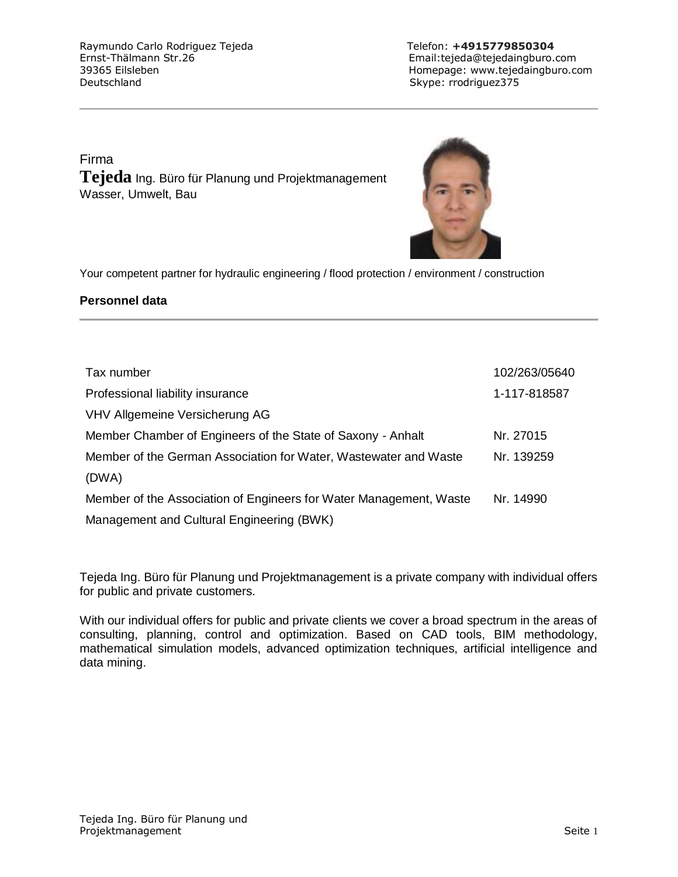Raymundo Carlo Rodriguez Tejeda Telefon: +4915779850304 Ernst-Thälmann Str.26 Email:tejeda@tejedaingburo.com Deutschland Skype: rrodriguez375

39365 Eilsleben Homepage: www.tejedaingburo.com

Firma **Tejeda** Ing. Büro für Planung und Projektmanagement Wasser, Umwelt, Bau



Your competent partner for hydraulic engineering / flood protection / environment / construction

## **Personnel data**

| Tax number                                                         | 102/263/05640 |
|--------------------------------------------------------------------|---------------|
| Professional liability insurance                                   | 1-117-818587  |
| VHV Allgemeine Versicherung AG                                     |               |
| Member Chamber of Engineers of the State of Saxony - Anhalt        | Nr. 27015     |
| Member of the German Association for Water, Wastewater and Waste   | Nr. 139259    |
| (DWA)                                                              |               |
| Member of the Association of Engineers for Water Management, Waste | Nr. 14990     |
| Management and Cultural Engineering (BWK)                          |               |

Tejeda Ing. Büro für Planung und Projektmanagement is a private company with individual offers for public and private customers.

With our individual offers for public and private clients we cover a broad spectrum in the areas of consulting, planning, control and optimization. Based on CAD tools, BIM methodology, mathematical simulation models, advanced optimization techniques, artificial intelligence and data mining.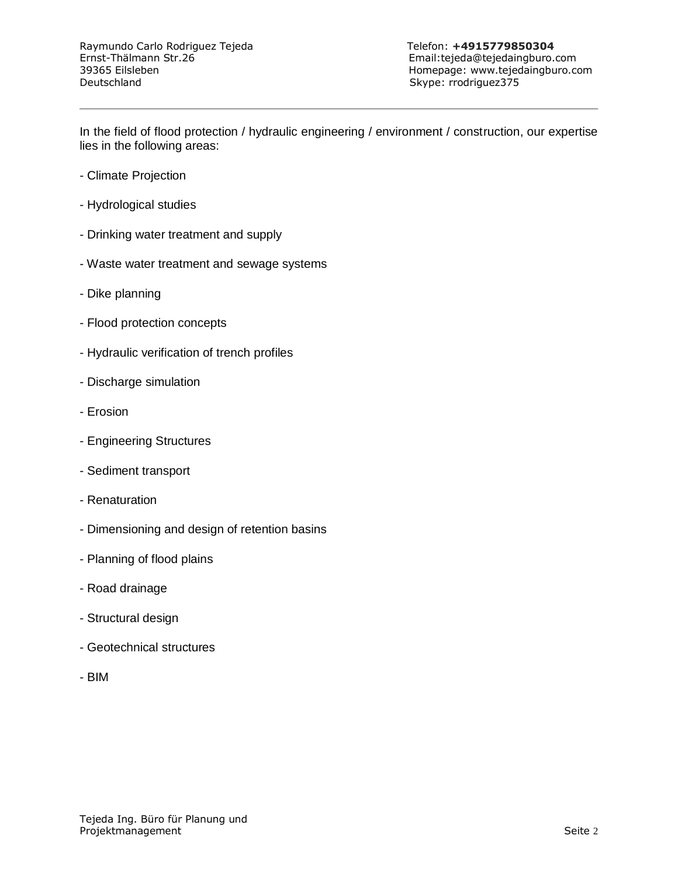39365 Eilsleben Homepage: www.tejedaingburo.com

In the field of flood protection / hydraulic engineering / environment / construction, our expertise lies in the following areas:

- Climate Projection
- Hydrological studies
- Drinking water treatment and supply
- Waste water treatment and sewage systems
- Dike planning
- Flood protection concepts
- Hydraulic verification of trench profiles
- Discharge simulation
- Erosion
- Engineering Structures
- Sediment transport
- Renaturation
- Dimensioning and design of retention basins
- Planning of flood plains
- Road drainage
- Structural design
- Geotechnical structures
- BIM